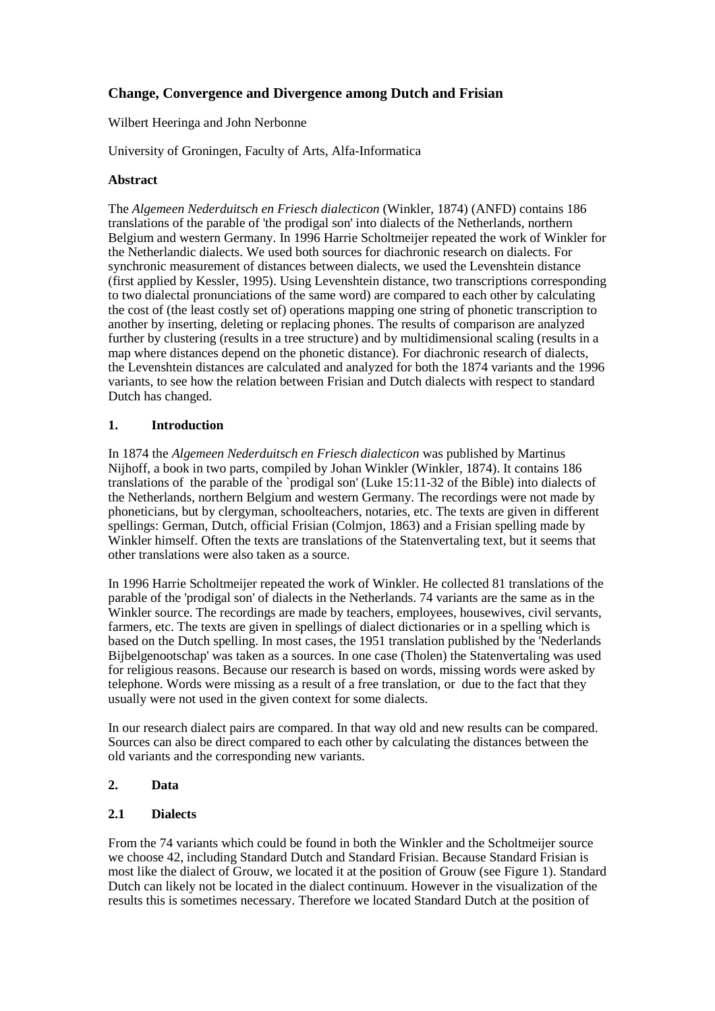# **Change, Convergence and Divergence among Dutch and Frisian**

## Wilbert Heeringa and John Nerbonne

University of Groningen, Faculty of Arts, Alfa-Informatica

## **Abstract**

The *Algemeen Nederduitsch en Friesch dialecticon* (Winkler, 1874) (ANFD) contains 186 translations of the parable of 'the prodigal son' into dialects of the Netherlands, northern Belgium and western Germany. In 1996 Harrie Scholtmeijer repeated the work of Winkler for the Netherlandic dialects. We used both sources for diachronic research on dialects. For synchronic measurement of distances between dialects, we used the Levenshtein distance (first applied by Kessler, 1995). Using Levenshtein distance, two transcriptions corresponding to two dialectal pronunciations of the same word) are compared to each other by calculating the cost of (the least costly set of) operations mapping one string of phonetic transcription to another by inserting, deleting or replacing phones. The results of comparison are analyzed further by clustering (results in a tree structure) and by multidimensional scaling (results in a map where distances depend on the phonetic distance). For diachronic research of dialects, the Levenshtein distances are calculated and analyzed for both the 1874 variants and the 1996 variants, to see how the relation between Frisian and Dutch dialects with respect to standard Dutch has changed.

## **1. Introduction**

In 1874 the *Algemeen Nederduitsch en Friesch dialecticon* was published by Martinus Nijhoff, a book in two parts, compiled by Johan Winkler (Winkler, 1874). It contains 186 translations of the parable of the `prodigal son' (Luke 15:11-32 of the Bible) into dialects of the Netherlands, northern Belgium and western Germany. The recordings were not made by phoneticians, but by clergyman, schoolteachers, notaries, etc. The texts are given in different spellings: German, Dutch, official Frisian (Colmjon, 1863) and a Frisian spelling made by Winkler himself. Often the texts are translations of the Statenvertaling text, but it seems that other translations were also taken as a source.

In 1996 Harrie Scholtmeijer repeated the work of Winkler. He collected 81 translations of the parable of the 'prodigal son' of dialects in the Netherlands. 74 variants are the same as in the Winkler source. The recordings are made by teachers, employees, housewives, civil servants, farmers, etc. The texts are given in spellings of dialect dictionaries or in a spelling which is based on the Dutch spelling. In most cases, the 1951 translation published by the 'Nederlands Bijbelgenootschap' was taken as a sources. In one case (Tholen) the Statenvertaling was used for religious reasons. Because our research is based on words, missing words were asked by telephone. Words were missing as a result of a free translation, or due to the fact that they usually were not used in the given context for some dialects.

In our research dialect pairs are compared. In that way old and new results can be compared. Sources can also be direct compared to each other by calculating the distances between the old variants and the corresponding new variants.

# **2. Data**

## **2.1 Dialects**

From the 74 variants which could be found in both the Winkler and the Scholtmeijer source we choose 42, including Standard Dutch and Standard Frisian. Because Standard Frisian is most like the dialect of Grouw, we located it at the position of Grouw (see Figure 1). Standard Dutch can likely not be located in the dialect continuum. However in the visualization of the results this is sometimes necessary. Therefore we located Standard Dutch at the position of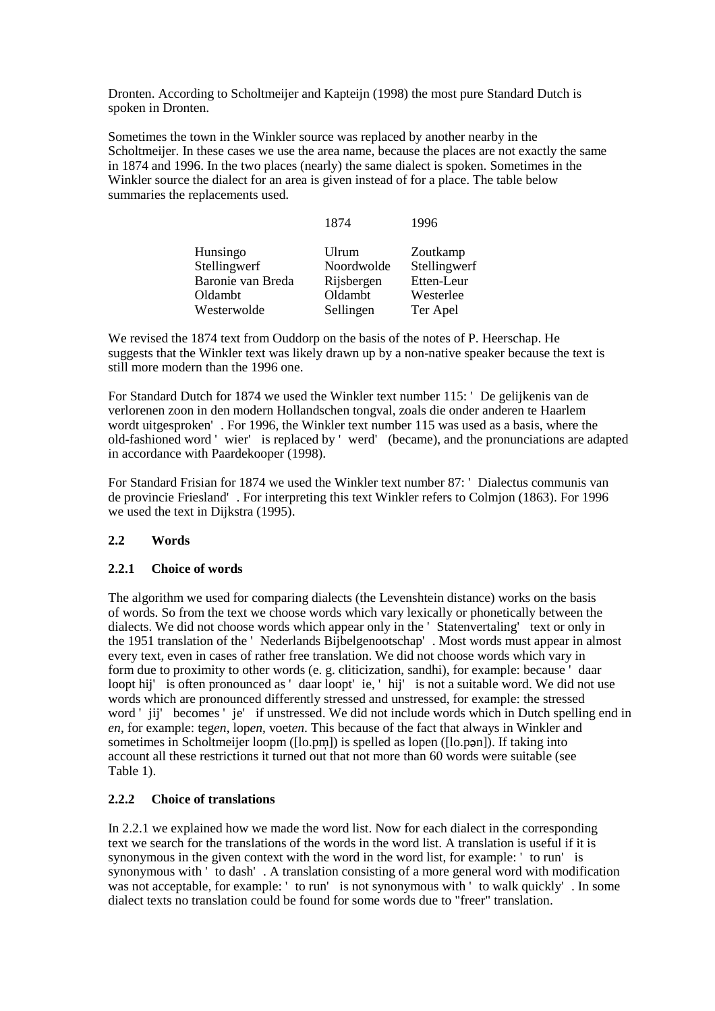Dronten. According to Scholtmeijer and Kapteijn (1998) the most pure Standard Dutch is spoken in Dronten.

Sometimes the town in the Winkler source was replaced by another nearby in the Scholtmeijer. In these cases we use the area name, because the places are not exactly the same in 1874 and 1996. In the two places (nearly) the same dialect is spoken. Sometimes in the Winkler source the dialect for an area is given instead of for a place. The table below summaries the replacements used.

| 1874       | 1996         |
|------------|--------------|
| Ulrum      | Zoutkamp     |
| Noordwolde | Stellingwerf |
| Rijsbergen | Etten-Leur   |
| Oldambt    | Westerlee    |
| Sellingen  | Ter Apel     |
|            |              |

We revised the 1874 text from Ouddorp on the basis of the notes of P. Heerschap. He suggests that the Winkler text was likely drawn up by a non-native speaker because the text is still more modern than the 1996 one.

For Standard Dutch for 1874 we used the Winkler text number 115: ' De gelijkenis van de verlorenen zoon in den modern Hollandschen tongval, zoals die onder anderen te Haarlem wordt uitgesproken' . For 1996, the Winkler text number 115 was used as a basis, where the old-fashioned word ' wier' is replaced by ' werd' (became), and the pronunciations are adapted in accordance with Paardekooper (1998).

For Standard Frisian for 1874 we used the Winkler text number 87: ' Dialectus communis van de provincie Friesland' . For interpreting this text Winkler refers to Colmjon (1863). For 1996 we used the text in Dijkstra (1995).

# **2.2 Words**

## **2.2.1 Choice of words**

The algorithm we used for comparing dialects (the Levenshtein distance) works on the basis of words. So from the text we choose words which vary lexically or phonetically between the dialects. We did not choose words which appear only in the ' Statenvertaling' text or only in the 1951 translation of the ' Nederlands Bijbelgenootschap' . Most words must appear in almost every text, even in cases of rather free translation. We did not choose words which vary in form due to proximity to other words (e. g. cliticization, sandhi), for example: because ' daar loopt hij' is often pronounced as ' daar loopt' ie, ' hij' is not a suitable word. We did not use words which are pronounced differently stressed and unstressed, for example: the stressed word ' jij' becomes ' je' if unstressed. We did not include words which in Dutch spelling end in *en*, for example: teg*en*, lop*en*, voet*en*. This because of the fact that always in Winkler and sometimes in Scholtmeijer loopm ([lo.pm]) is spelled as lopen ([lo.pan]). If taking into account all these restrictions it turned out that not more than 60 words were suitable (see Table 1).

# **2.2.2 Choice of translations**

In 2.2.1 we explained how we made the word list. Now for each dialect in the corresponding text we search for the translations of the words in the word list. A translation is useful if it is synonymous in the given context with the word in the word list, for example: ' to run' is synonymous with ' to dash' . A translation consisting of a more general word with modification was not acceptable, for example: ' to run' is not synonymous with ' to walk quickly'. In some dialect texts no translation could be found for some words due to "freer" translation.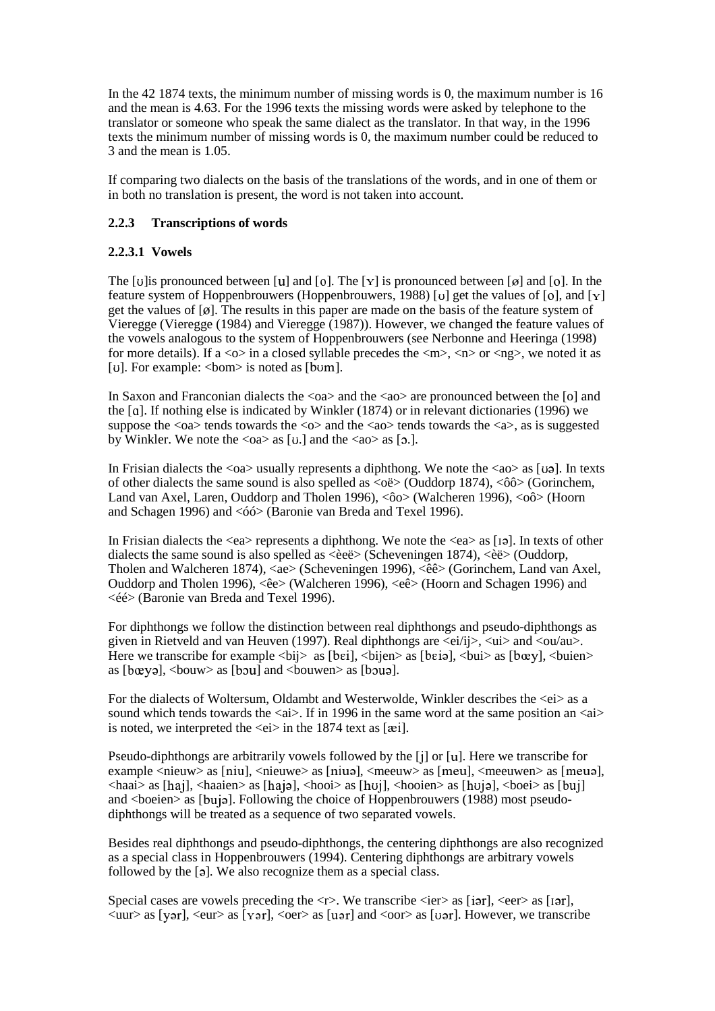In the 42 1874 texts, the minimum number of missing words is 0, the maximum number is 16 and the mean is 4.63. For the 1996 texts the missing words were asked by telephone to the translator or someone who speak the same dialect as the translator. In that way, in the 1996 texts the minimum number of missing words is 0, the maximum number could be reduced to 3 and the mean is 1.05.

If comparing two dialects on the basis of the translations of the words, and in one of them or in both no translation is present, the word is not taken into account.

## **2.2.3 Transcriptions of words**

## **2.2.3.1 Vowels**

The [u] is pronounced between [u] and [o]. The [Y] is pronounced between [ø] and [o]. In the feature system of Hoppenbrouwers (Hoppenbrouwers, 1988) [ $\sigma$ ] get the values of [ $\sigma$ ], and [ $\gamma$ ] get the values of  $[g]$ . The results in this paper are made on the basis of the feature system of Vieregge (Vieregge (1984) and Vieregge (1987)). However, we changed the feature values of the vowels analogous to the system of Hoppenbrouwers (see Nerbonne and Heeringa (1998) for more details). If a  $\langle \infty \rangle$  in a closed syllable precedes the  $\langle m \rangle$ ,  $\langle n \rangle$  or  $\langle n g \rangle$ , we noted it as [ $U$ ]. For example:  $\langle$ bom $\rangle$  is noted as [b $U$ m].

In Saxon and Franconian dialects the  $\langle 0a \rangle$  and the  $\langle 4a \rangle$  are pronounced between the [o] and the  $\lceil q \rceil$ . If nothing else is indicated by Winkler (1874) or in relevant dictionaries (1996) we suppose the  $\langle 0 \rangle$  tends towards the  $\langle 0 \rangle$  and the  $\langle 40 \rangle$  tends towards the  $\langle 4 \rangle$ , as is suggested by Winkler. We note the  $\langle 0a \rangle$  as [0.] and the  $\langle 4a \rangle$  as [0.].

In Frisian dialects the  $\langle 0a \rangle$  usually represents a diphthong. We note the  $\langle 40 \rangle$  as [ua]. In texts of other dialects the same sound is also spelled as  $\langle 0 \rangle$  (Ouddorp 1874),  $\langle 0 \rangle$  (Gorinchem, Land van Axel, Laren, Ouddorp and Tholen 1996), <ôo> (Walcheren 1996), <oô> (Hoorn and Schagen 1996) and <óó> (Baronie van Breda and Texel 1996).

In Frisian dialects the  $\langle$ ea $\rangle$  represents a diphthong. We note the  $\langle$ ea $\rangle$  as [19]. In texts of other dialects the same sound is also spelled as  $\langle$ eeë $>$  (Scheveningen 1874),  $\langle$ eeë $>$  (Ouddorp, Tholen and Walcheren 1874), <ae> (Scheveningen 1996), <êê> (Gorinchem, Land van Axel, Ouddorp and Tholen 1996), <êe> (Walcheren 1996), <eê> (Hoorn and Schagen 1996) and <éé> (Baronie van Breda and Texel 1996).

For diphthongs we follow the distinction between real diphthongs and pseudo-diphthongs as given in Rietveld and van Heuven (1997). Real diphthongs are  $\langle e^{i}/i \rangle$ ,  $\langle u \rangle$  and  $\langle \langle 0 u / \langle u \rangle \rangle$ . Here we transcribe for example  $\langle bi \rangle$  as [bei],  $\langle bi \rangle$  as [beia],  $\langle bu \rangle$  as [b $\langle bu \rangle$ ],  $\langle bu$  as [b $\langle bu \rangle$ ] as  $[b_{\alpha}$ ,  $\leq b_{\alpha}$ ,  $\leq b_{\alpha}$  as  $[b_{\alpha}$ ,  $\leq b_{\alpha}$  and  $\leq b_{\alpha}$  as  $[b_{\alpha}$ .

For the dialects of Woltersum, Oldambt and Westerwolde, Winkler describes the  $\langle e\rangle$  as a sound which tends towards the  $\langle a \rangle$ . If in 1996 in the same word at the same position an  $\langle a \rangle$ is noted, we interpreted the  $\langle e_i \rangle$  in the 1874 text as [ $\langle e_i \rangle$ ].

Pseudo-diphthongs are arbitrarily vowels followed by the [i] or [u]. Here we transcribe for example  $\langle$ nieuw $\rangle$  as [niu],  $\langle$ nieuwe $\rangle$  as [niuə],  $\langle$ meeuw $\rangle$  as [meu $\langle$ ],  $\rangle$  as [meu $\langle$ ],  $\rangle$ ,  $\langle$ meeuwen $\rangle$  as [meu $\langle$ ],  $\alpha$  <haai> as [haj],  $\alpha$  aaien> as [haja],  $\alpha$ hooi> as [huj],  $\alpha$ hooien> as [huja],  $\alpha$ boei> as [buj] and <br/>boeien> as [buja]. Following the choice of Hoppenbrouwers (1988) most pseudodiphthongs will be treated as a sequence of two separated vowels.

Besides real diphthongs and pseudo-diphthongs, the centering diphthongs are also recognized as a special class in Hoppenbrouwers (1994). Centering diphthongs are arbitrary vowels followed by the [a]. We also recognize them as a special class.

Special cases are vowels preceding the  $\langle \rangle$ . We transcribe  $\langle$ ier $\rangle$  as [iar],  $\langle$ eer $\rangle$  as [iar],  $\langle \text{uur} \rangle$  as [yər],  $\langle \text{eur} \rangle$  as [yər],  $\langle \text{oer} \rangle$  as [uər] and  $\langle \text{oor} \rangle$  as [uər]. However, we transcribe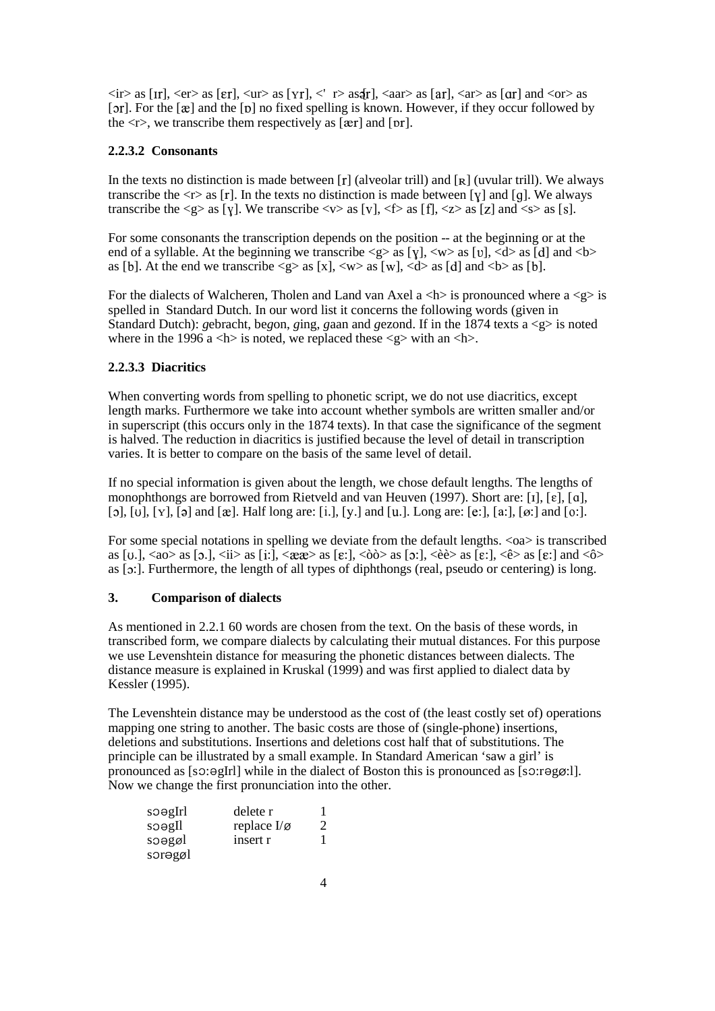$\langle$ ir> as [Ir],  $\langle$ er> as [ɛr],  $\langle$ ur> as [Yr],  $\langle$ ' r> as $[$ r],  $\langle$ aar> as [ar],  $\langle$ ar> as [ɑr] and  $\langle$ or> as [ $5r$ ]. For the [ $\mathcal{E}$ ] and the [ $\mathcal{D}$ ] no fixed spelling is known. However, if they occur followed by the  $\langle r \rangle$ , we transcribe them respectively as  $[\text{ær}]$  and  $[\text{pr}]$ .

# **2.2.3.2 Consonants**

In the texts no distinction is made between  $[r]$  (alveolar trill) and  $[r]$  (uvular trill). We always transcribe the  $\langle r \rangle$  as [r]. In the texts no distinction is made between [y] and [q]. We always transcribe the  $\langle g \rangle$  as [v]. We transcribe  $\langle v \rangle$  as [v],  $\langle f \rangle$  as [f],  $\langle z \rangle$  as [z] and  $\langle s \rangle$  as [s].

For some consonants the transcription depends on the position -- at the beginning or at the end of a syllable. At the beginning we transcribe  $\langle g \rangle$  as [V],  $\langle w \rangle$  as [U],  $\langle d \rangle$  as [d] and  $\langle b \rangle$ as [b]. At the end we transcribe  $\langle g \rangle$  as [x],  $\langle w \rangle$  as [w],  $\langle d \rangle$  as [d] and  $\langle b \rangle$  as [b].

For the dialects of Walcheren, Tholen and Land van Axel a  $\langle h \rangle$  is pronounced where a  $\langle g \rangle$  is spelled in Standard Dutch. In our word list it concerns the following words (given in Standard Dutch): *g*ebracht, be*g*on, *g*ing, *g*aan and *g*ezond. If in the 1874 texts a <g> is noted where in the 1996 a  $\langle h \rangle$  is noted, we replaced these  $\langle g \rangle$  with an  $\langle h \rangle$ .

# **2.2.3.3 Diacritics**

When converting words from spelling to phonetic script, we do not use diacritics, except length marks. Furthermore we take into account whether symbols are written smaller and/or in superscript (this occurs only in the 1874 texts). In that case the significance of the segment is halved. The reduction in diacritics is justified because the level of detail in transcription varies. It is better to compare on the basis of the same level of detail.

If no special information is given about the length, we chose default lengths. The lengths of monophthongs are borrowed from Rietveld and van Heuven (1997). Short are: [1], [ $\varepsilon$ ], [ $\alpha$ ],  $[0], [0], [Y], [2]$  and  $[\mathcal{R}].$  Half long are:  $[i], [Y.]$  and  $[u].$  Long are:  $[e:], [a:], [\emptyset:]$  and  $[0:].$ 

For some special notations in spelling we deviate from the default lengths.  $\langle \circ \rangle$  is transcribed as  $[u, \langle a \rangle$  as  $[0, \cdot]$ ,  $\langle a \rangle$  as  $[i, \cdot]$ ,  $\langle a \rangle$  as  $[\epsilon, \cdot]$ ,  $\langle b \rangle$  as  $[0, \cdot]$ ,  $\langle b \rangle$  as  $[\epsilon, \cdot]$ ,  $\langle b \rangle$  as  $[\epsilon, \cdot]$  and  $\langle b \rangle$ as  $[ $\circ$$ :]. Furthermore, the length of all types of diphthongs (real, pseudo or centering) is long.

## **3. Comparison of dialects**

As mentioned in 2.2.1 60 words are chosen from the text. On the basis of these words, in transcribed form, we compare dialects by calculating their mutual distances. For this purpose we use Levenshtein distance for measuring the phonetic distances between dialects. The distance measure is explained in Kruskal (1999) and was first applied to dialect data by Kessler (1995).

The Levenshtein distance may be understood as the cost of (the least costly set of) operations mapping one string to another. The basic costs are those of (single-phone) insertions, deletions and substitutions. Insertions and deletions cost half that of substitutions. The principle can be illustrated by a small example. In Standard American 'saw a girl' is pronounced as  $[s:2:9 \text{ gIr}]$  while in the dialect of Boston this is pronounced as  $[s:3:79 \text{ gI}$ . Now we change the first pronunciation into the other.

| soəgIrl | delete r                |  |
|---------|-------------------------|--|
| soegIl  | replace $I/\varnothing$ |  |
| soəgøl  | insert r                |  |
| sorəgøl |                         |  |
|         |                         |  |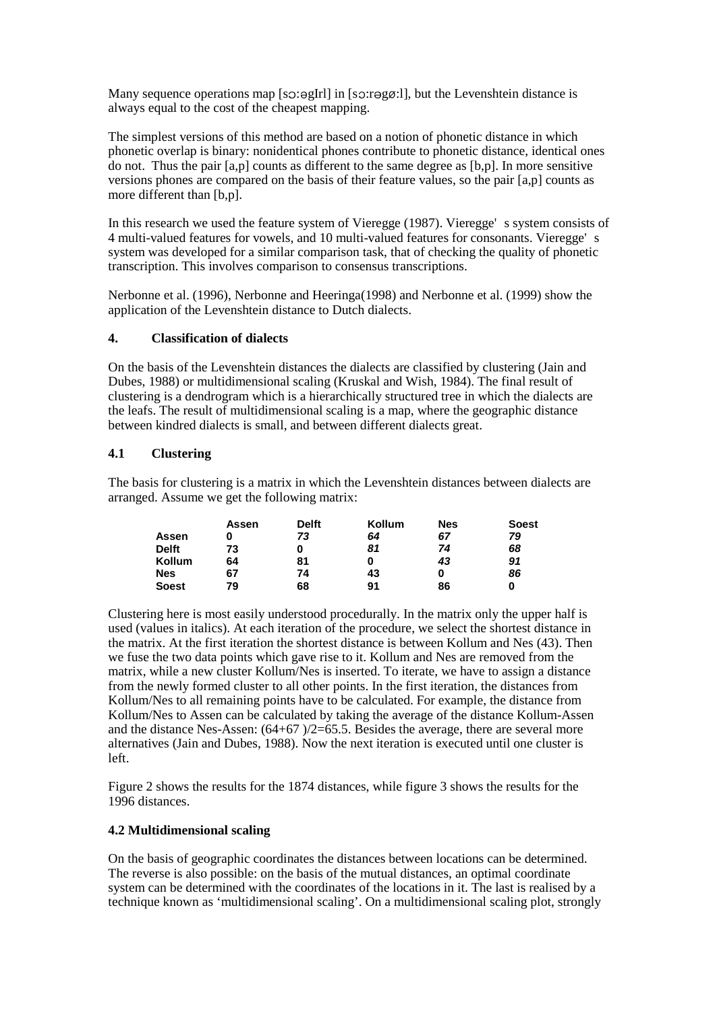Many sequence operations map [so:əgIrl] in [so:rəgø:l], but the Levenshtein distance is always equal to the cost of the cheapest mapping.

The simplest versions of this method are based on a notion of phonetic distance in which phonetic overlap is binary: nonidentical phones contribute to phonetic distance, identical ones do not. Thus the pair [a,p] counts as different to the same degree as [b,p]. In more sensitive versions phones are compared on the basis of their feature values, so the pair [a,p] counts as more different than  $[b,p]$ .

In this research we used the feature system of Vieregge (1987). Vieregge' s system consists of 4 multi-valued features for vowels, and 10 multi-valued features for consonants. Vieregge' s system was developed for a similar comparison task, that of checking the quality of phonetic transcription. This involves comparison to consensus transcriptions.

Nerbonne et al. (1996), Nerbonne and Heeringa(1998) and Nerbonne et al. (1999) show the application of the Levenshtein distance to Dutch dialects.

## **4. Classification of dialects**

On the basis of the Levenshtein distances the dialects are classified by clustering (Jain and Dubes, 1988) or multidimensional scaling (Kruskal and Wish, 1984). The final result of clustering is a dendrogram which is a hierarchically structured tree in which the dialects are the leafs. The result of multidimensional scaling is a map, where the geographic distance between kindred dialects is small, and between different dialects great.

## **4.1 Clustering**

The basis for clustering is a matrix in which the Levenshtein distances between dialects are arranged. Assume we get the following matrix:

|              | Assen | <b>Delft</b> | Kollum | Nes | <b>Soest</b> |
|--------------|-------|--------------|--------|-----|--------------|
| Assen        |       | 73           | 64     | 67  | 79           |
| <b>Delft</b> | 73    | 0            | 81     | 74  | 68           |
| Kollum       | 64    | 81           |        | 43  | 91           |
| <b>Nes</b>   | 67    | 74           | 43     | 0   | 86           |
| <b>Soest</b> | 79    | 68           | 91     | 86  |              |

Clustering here is most easily understood procedurally. In the matrix only the upper half is used (values in italics). At each iteration of the procedure, we select the shortest distance in the matrix. At the first iteration the shortest distance is between Kollum and Nes (43). Then we fuse the two data points which gave rise to it. Kollum and Nes are removed from the matrix, while a new cluster Kollum/Nes is inserted. To iterate, we have to assign a distance from the newly formed cluster to all other points. In the first iteration, the distances from Kollum/Nes to all remaining points have to be calculated. For example, the distance from Kollum/Nes to Assen can be calculated by taking the average of the distance Kollum-Assen and the distance Nes-Assen:  $(64+67)/2=65.5$ . Besides the average, there are several more alternatives (Jain and Dubes, 1988). Now the next iteration is executed until one cluster is left.

Figure 2 shows the results for the 1874 distances, while figure 3 shows the results for the 1996 distances.

## **4.2 Multidimensional scaling**

On the basis of geographic coordinates the distances between locations can be determined. The reverse is also possible: on the basis of the mutual distances, an optimal coordinate system can be determined with the coordinates of the locations in it. The last is realised by a technique known as 'multidimensional scaling'. On a multidimensional scaling plot, strongly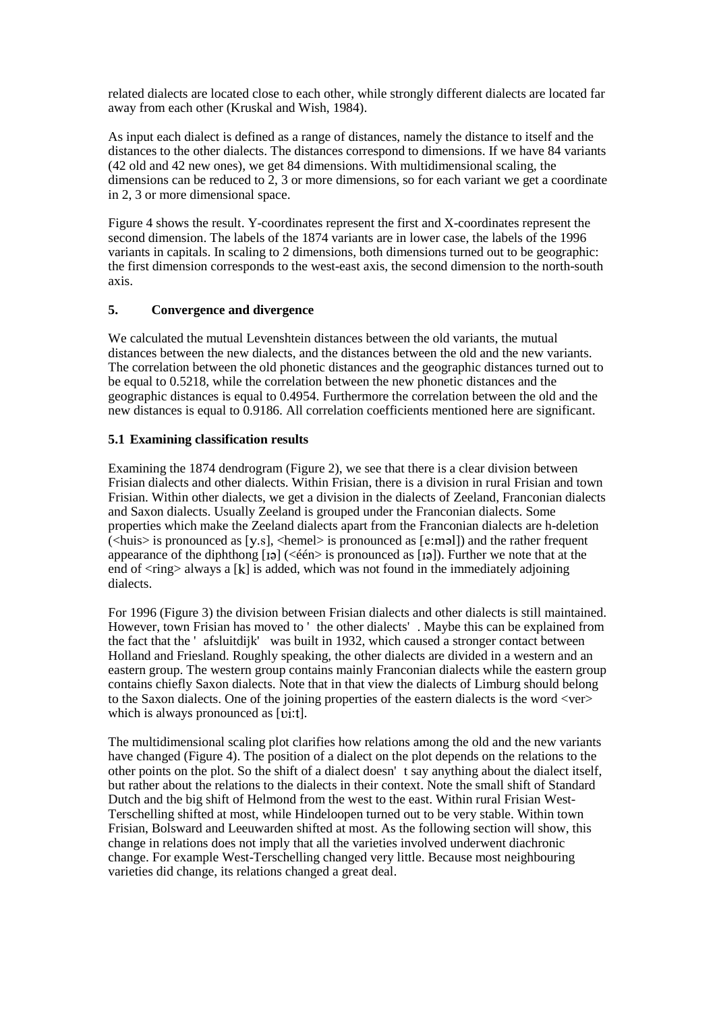related dialects are located close to each other, while strongly different dialects are located far away from each other (Kruskal and Wish, 1984).

As input each dialect is defined as a range of distances, namely the distance to itself and the distances to the other dialects. The distances correspond to dimensions. If we have 84 variants (42 old and 42 new ones), we get 84 dimensions. With multidimensional scaling, the dimensions can be reduced to 2, 3 or more dimensions, so for each variant we get a coordinate in 2, 3 or more dimensional space.

Figure 4 shows the result. Y-coordinates represent the first and X-coordinates represent the second dimension. The labels of the 1874 variants are in lower case, the labels of the 1996 variants in capitals. In scaling to 2 dimensions, both dimensions turned out to be geographic: the first dimension corresponds to the west-east axis, the second dimension to the north-south axis.

# **5. Convergence and divergence**

We calculated the mutual Levenshtein distances between the old variants, the mutual distances between the new dialects, and the distances between the old and the new variants. The correlation between the old phonetic distances and the geographic distances turned out to be equal to 0.5218, while the correlation between the new phonetic distances and the geographic distances is equal to 0.4954. Furthermore the correlation between the old and the new distances is equal to 0.9186. All correlation coefficients mentioned here are significant.

## **5.1 Examining classification results**

Examining the 1874 dendrogram (Figure 2), we see that there is a clear division between Frisian dialects and other dialects. Within Frisian, there is a division in rural Frisian and town Frisian. Within other dialects, we get a division in the dialects of Zeeland, Franconian dialects and Saxon dialects. Usually Zeeland is grouped under the Franconian dialects. Some properties which make the Zeeland dialects apart from the Franconian dialects are h-deletion  $(\langle \text{huis} \rangle \text{ is pronounced as } [y.s], \langle \text{hemel} \rangle \text{ is pronounced as } [\text{e:mdl}]$  and the rather frequent appearance of the diphthong  $[i]$  (<één> is pronounced as  $[i]$ ). Further we note that at the end of  $\langle$ ring $\rangle$  always a [k] is added, which was not found in the immediately adjoining dialects.

For 1996 (Figure 3) the division between Frisian dialects and other dialects is still maintained. However, town Frisian has moved to ' the other dialects' . Maybe this can be explained from the fact that the ' afsluitdijk' was built in 1932, which caused a stronger contact between Holland and Friesland. Roughly speaking, the other dialects are divided in a western and an eastern group. The western group contains mainly Franconian dialects while the eastern group contains chiefly Saxon dialects. Note that in that view the dialects of Limburg should belong to the Saxon dialects. One of the joining properties of the eastern dialects is the word <ver> which is always pronounced as [vi:t].

The multidimensional scaling plot clarifies how relations among the old and the new variants have changed (Figure 4). The position of a dialect on the plot depends on the relations to the other points on the plot. So the shift of a dialect doesn' t say anything about the dialect itself, but rather about the relations to the dialects in their context. Note the small shift of Standard Dutch and the big shift of Helmond from the west to the east. Within rural Frisian West-Terschelling shifted at most, while Hindeloopen turned out to be very stable. Within town Frisian, Bolsward and Leeuwarden shifted at most. As the following section will show, this change in relations does not imply that all the varieties involved underwent diachronic change. For example West-Terschelling changed very little. Because most neighbouring varieties did change, its relations changed a great deal.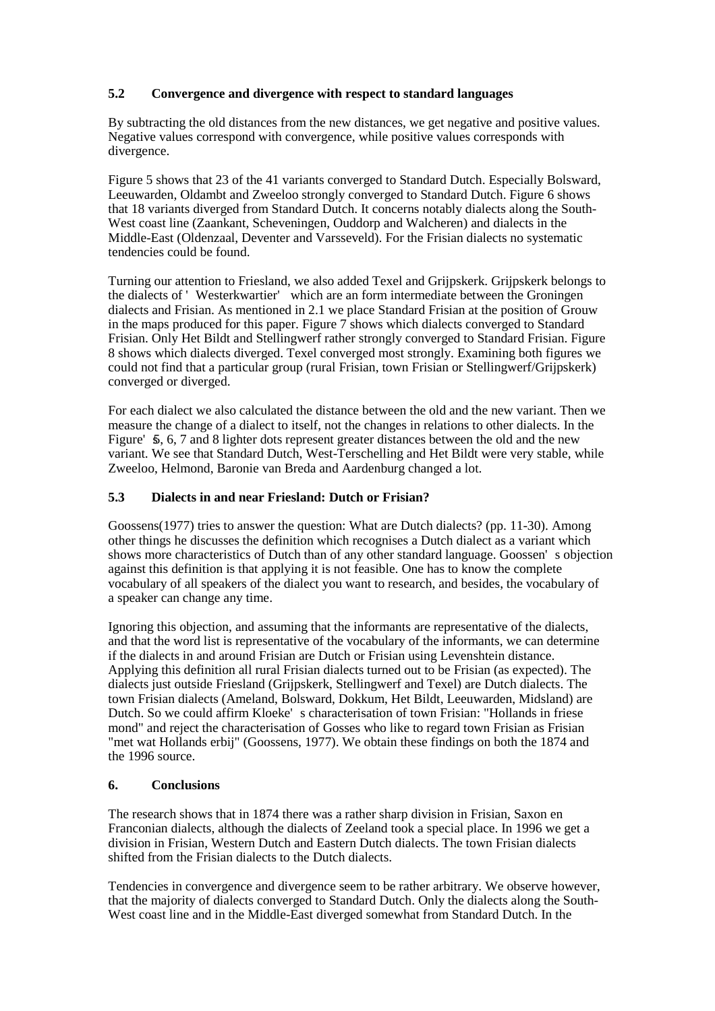# **5.2 Convergence and divergence with respect to standard languages**

By subtracting the old distances from the new distances, we get negative and positive values. Negative values correspond with convergence, while positive values corresponds with divergence.

Figure 5 shows that 23 of the 41 variants converged to Standard Dutch. Especially Bolsward, Leeuwarden, Oldambt and Zweeloo strongly converged to Standard Dutch. Figure 6 shows that 18 variants diverged from Standard Dutch. It concerns notably dialects along the South-West coast line (Zaankant, Scheveningen, Ouddorp and Walcheren) and dialects in the Middle-East (Oldenzaal, Deventer and Varsseveld). For the Frisian dialects no systematic tendencies could be found.

Turning our attention to Friesland, we also added Texel and Grijpskerk. Grijpskerk belongs to the dialects of ' Westerkwartier' which are an form intermediate between the Groningen dialects and Frisian. As mentioned in 2.1 we place Standard Frisian at the position of Grouw in the maps produced for this paper. Figure  $\overline{7}$  shows which dialects converged to Standard Frisian. Only Het Bildt and Stellingwerf rather strongly converged to Standard Frisian. Figure 8 shows which dialects diverged. Texel converged most strongly. Examining both figures we could not find that a particular group (rural Frisian, town Frisian or Stellingwerf/Grijpskerk) converged or diverged.

For each dialect we also calculated the distance between the old and the new variant. Then we measure the change of a dialect to itself, not the changes in relations to other dialects. In the Figure'  $\overline{s}$ , 6, 7 and 8 lighter dots represent greater distances between the old and the new variant. We see that Standard Dutch, West-Terschelling and Het Bildt were very stable, while Zweeloo, Helmond, Baronie van Breda and Aardenburg changed a lot.

## **5.3 Dialects in and near Friesland: Dutch or Frisian?**

Goossens(1977) tries to answer the question: What are Dutch dialects? (pp. 11-30). Among other things he discusses the definition which recognises a Dutch dialect as a variant which shows more characteristics of Dutch than of any other standard language. Goossen' s objection against this definition is that applying it is not feasible. One has to know the complete vocabulary of all speakers of the dialect you want to research, and besides, the vocabulary of a speaker can change any time.

Ignoring this objection, and assuming that the informants are representative of the dialects, and that the word list is representative of the vocabulary of the informants, we can determine if the dialects in and around Frisian are Dutch or Frisian using Levenshtein distance. Applying this definition all rural Frisian dialects turned out to be Frisian (as expected). The dialects just outside Friesland (Grijpskerk, Stellingwerf and Texel) are Dutch dialects. The town Frisian dialects (Ameland, Bolsward, Dokkum, Het Bildt, Leeuwarden, Midsland) are Dutch. So we could affirm Kloeke' s characterisation of town Frisian: "Hollands in friese mond" and reject the characterisation of Gosses who like to regard town Frisian as Frisian "met wat Hollands erbij" (Goossens, 1977). We obtain these findings on both the 1874 and the 1996 source.

## **6. Conclusions**

The research shows that in 1874 there was a rather sharp division in Frisian, Saxon en Franconian dialects, although the dialects of Zeeland took a special place. In 1996 we get a division in Frisian, Western Dutch and Eastern Dutch dialects. The town Frisian dialects shifted from the Frisian dialects to the Dutch dialects.

Tendencies in convergence and divergence seem to be rather arbitrary. We observe however, that the majority of dialects converged to Standard Dutch. Only the dialects along the South-West coast line and in the Middle-East diverged somewhat from Standard Dutch. In the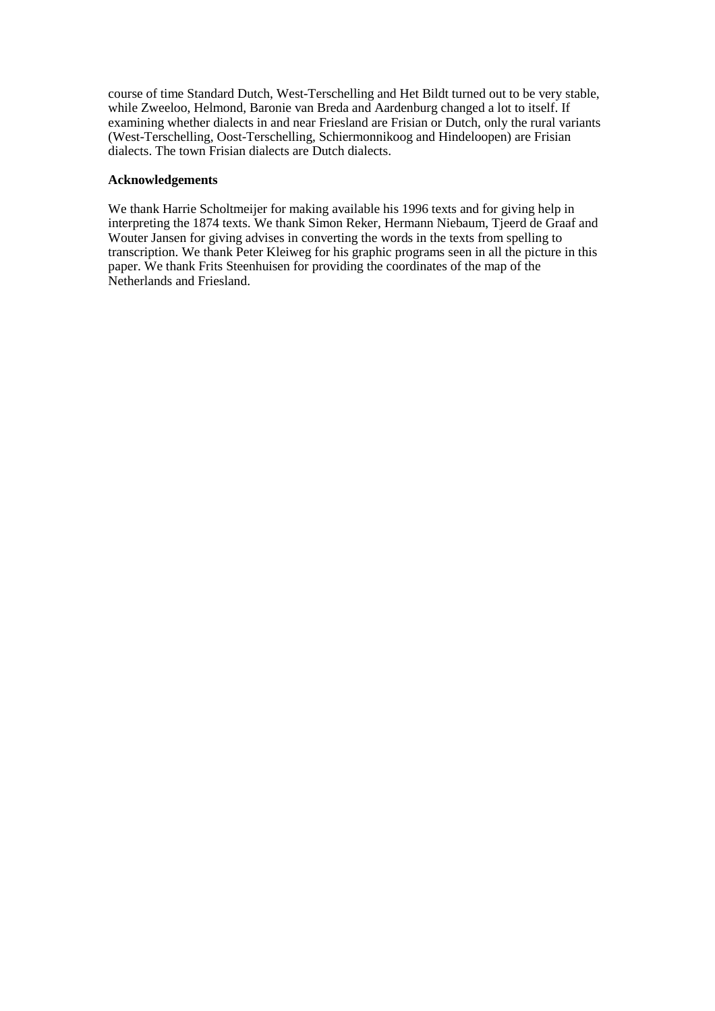course of time Standard Dutch, West-Terschelling and Het Bildt turned out to be very stable, while Zweeloo, Helmond, Baronie van Breda and Aardenburg changed a lot to itself. If examining whether dialects in and near Friesland are Frisian or Dutch, only the rural variants (West-Terschelling, Oost-Terschelling, Schiermonnikoog and Hindeloopen) are Frisian dialects. The town Frisian dialects are Dutch dialects.

#### **Acknowledgements**

We thank Harrie Scholtmeijer for making available his 1996 texts and for giving help in interpreting the 1874 texts. We thank Simon Reker, Hermann Niebaum, Tjeerd de Graaf and Wouter Jansen for giving advises in converting the words in the texts from spelling to transcription. We thank Peter Kleiweg for his graphic programs seen in all the picture in this paper. We thank Frits Steenhuisen for providing the coordinates of the map of the Netherlands and Friesland.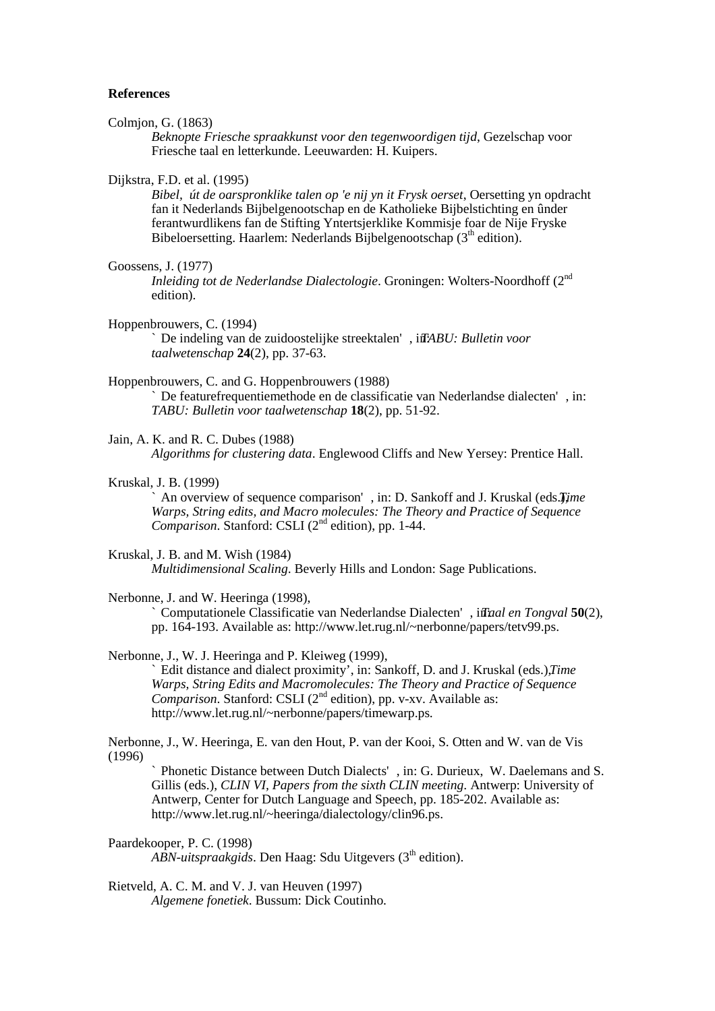#### **References**

Colmjon, G. (1863)

*Beknopte Friesche spraakkunst voor den tegenwoordigen tijd*, Gezelschap voor Friesche taal en letterkunde. Leeuwarden: H. Kuipers.

Dijkstra, F.D. et al. (1995)

*Bibel, út de oarspronklike talen op 'e nij yn it Frysk oerset*, Oersetting yn opdracht fan it Nederlands Bijbelgenootschap en de Katholieke Bijbelstichting en ûnder ferantwurdlikens fan de Stifting Yntertsjerklike Kommisje foar de Nije Fryske Bibeloersetting. Haarlem: Nederlands Bijbelgenootschap (3<sup>th</sup> edition).

Goossens, J. (1977)

Inleiding tot de Nederlandse Dialectologie. Groningen: Wolters-Noordhoff (2<sup>nd</sup> edition).

Hoppenbrouwers, C. (1994)

` De indeling van de zuidoostelijke streektalen' , in*T*: *ABU: Bulletin voor taalwetenschap* **24**(2), pp. 37-63.

# Hoppenbrouwers, C. and G. Hoppenbrouwers (1988)

` De featurefrequentiemethode en de classificatie van Nederlandse dialecten' , in: *TABU: Bulletin voor taalwetenschap* **18**(2), pp. 51-92.

Jain, A. K. and R. C. Dubes (1988) *Algorithms for clustering data*. Englewood Cliffs and New Yersey: Prentice Hall.

Kruskal, J. B. (1999)

` An overview of sequence comparison' , in: D. Sankoff and J. Kruskal (eds.*T*), *ime Warps, String edits, and Macro molecules: The Theory and Practice of Sequence* Comparison. Stanford: CSLI (2<sup>nd</sup> edition), pp. 1-44.

Kruskal, J. B. and M. Wish (1984) *Multidimensional Scaling*. Beverly Hills and London: Sage Publications.

Nerbonne, J. and W. Heeringa (1998),

` Computationele Classificatie van Nederlandse Dialecten' , in*T*: *aal en Tongval* **50**(2), pp. 164-193. Available as: http://www.let.rug.nl/~nerbonne/papers/tetv99.ps.

Nerbonne, J., W. J. Heeringa and P. Kleiweg (1999), ` Edit distance and dialect proximity', in: Sankoff, D. and J. Kruskal (eds.), *Time Warps, String Edits and Macromolecules: The Theory and Practice of Sequence* Comparison. Stanford: CSLI (2<sup>nd</sup> edition), pp. v-xv. Available as: http://www.let.rug.nl/~nerbonne/papers/timewarp.ps.

Nerbonne, J., W. Heeringa, E. van den Hout, P. van der Kooi, S. Otten and W. van de Vis (1996)

` Phonetic Distance between Dutch Dialects' , in: G. Durieux, W. Daelemans and S. Gillis (eds.), *CLIN VI, Papers from the sixth CLIN meeting*. Antwerp: University of Antwerp, Center for Dutch Language and Speech, pp. 185-202. Available as: http://www.let.rug.nl/~heeringa/dialectology/clin96.ps.

Paardekooper, P. C. (1998) ABN-uitspraakgids. Den Haag: Sdu Uitgevers (3<sup>th</sup> edition).

Rietveld, A. C. M. and V. J. van Heuven (1997) *Algemene fonetiek*. Bussum: Dick Coutinho.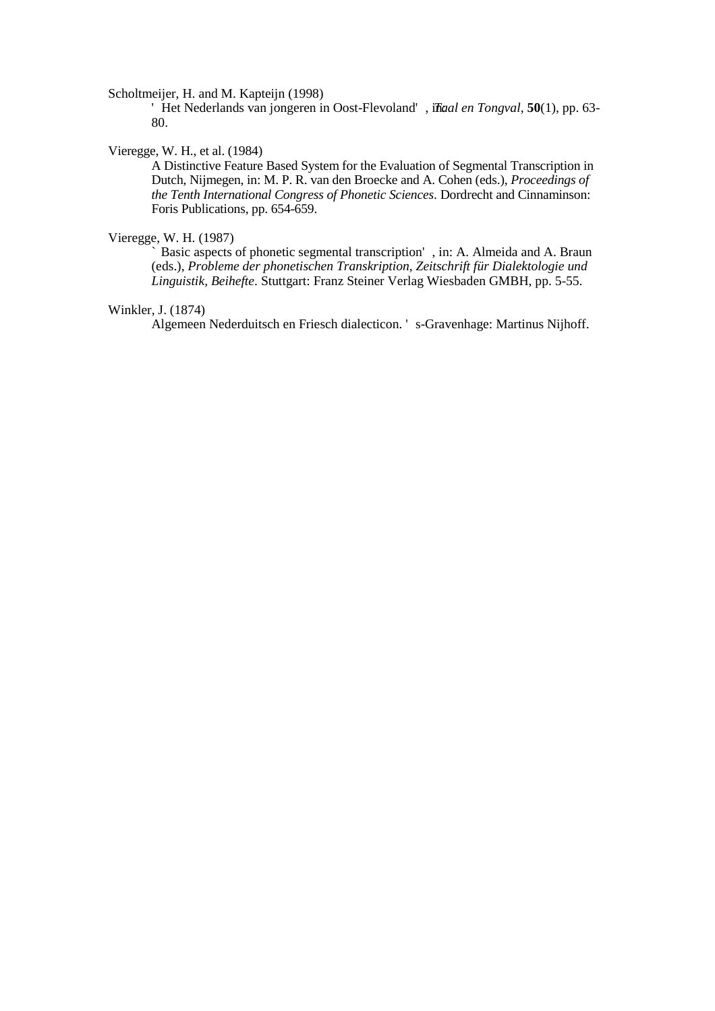Scholtmeijer, H. and M. Kapteijn (1998)

' Het Nederlands van jongeren in Oost-Flevoland' , i*T*n*a*: *al en Tongval*, **50**(1), pp. 63- 80.

## Vieregge, W. H., et al. (1984)

A Distinctive Feature Based System for the Evaluation of Segmental Transcription in Dutch, Nijmegen, in: M. P. R. van den Broecke and A. Cohen (eds.), *Proceedings of the Tenth International Congress of Phonetic Sciences*. Dordrecht and Cinnaminson: Foris Publications, pp. 654-659.

# Vieregge, W. H. (1987)

Basic aspects of phonetic segmental transcription', in: A. Almeida and A. Braun (eds.), *Probleme der phonetischen Transkription, Zeitschrift für Dialektologie und Linguistik, Beihefte*. Stuttgart: Franz Steiner Verlag Wiesbaden GMBH, pp. 5-55.

## Winkler, J. (1874)

Algemeen Nederduitsch en Friesch dialecticon. ' s-Gravenhage: Martinus Nijhoff.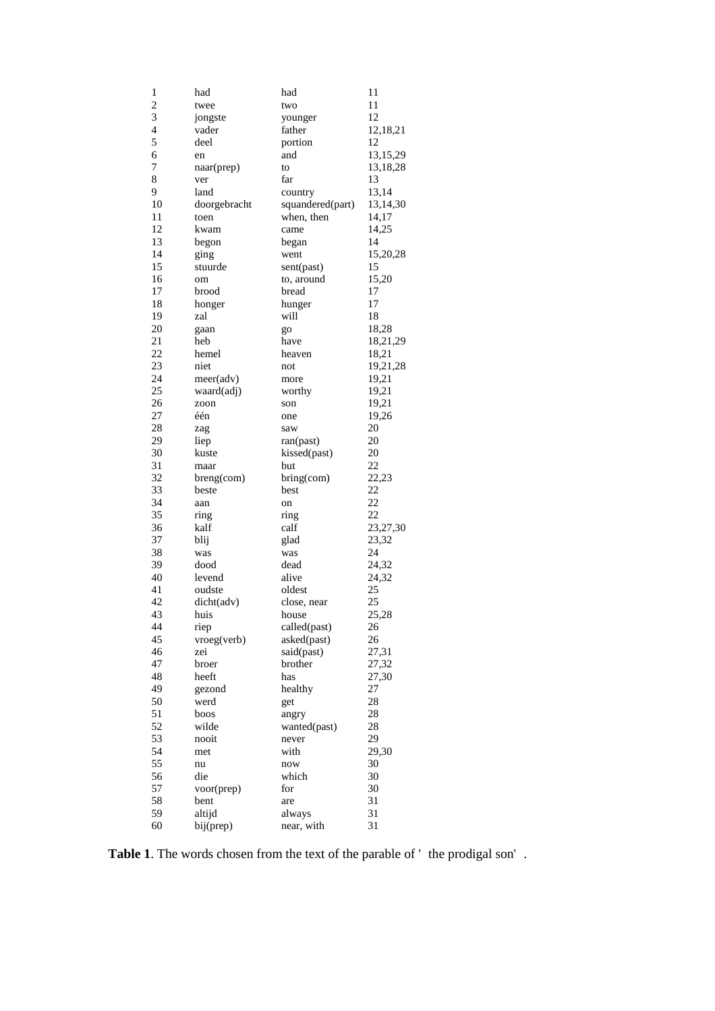| 1                        | had           | had              | 11             |
|--------------------------|---------------|------------------|----------------|
| 2                        | twee          | two              | 11             |
| 3                        | jongste       | younger          | 12             |
| $\overline{\mathcal{L}}$ | vader         | father           | 12,18,21       |
| 5                        | deel          | portion          | 12             |
| 6                        | en            | and              | 13,15,29       |
| 7                        | naar(prep)    | to               | 13,18,28       |
| 8                        | ver           | far              | 13             |
| 9                        | land          | country          | 13,14          |
| 10                       | doorgebracht  | squandered(part) | 13,14,30       |
| 11                       | toen          | when, then       | 14,17          |
| 12                       | kwam          | came             | 14,25          |
| 13                       | begon         | began            | 14             |
| 14                       | ging          | went             | 15,20,28       |
| 15                       | stuurde       |                  | 15             |
| 16                       |               | sent(past)       | 15,20          |
| 17                       | om            | to, around       | 17             |
|                          | brood         | bread            |                |
| 18                       | honger        | hunger           | 17             |
| 19                       | zal           | will             | 18             |
| 20                       | gaan          | go               | 18,28          |
| 21                       | heb           | have             | 18,21,29       |
| 22                       | hemel         | heaven           | 18,21          |
| 23                       | niet          | not              | 19,21,28       |
| 24                       | meer(adv)     | more             | 19,21          |
| 25                       | waard(adj)    | worthy           | 19,21          |
| 26                       | zoon          | son              | 19,21          |
| 27                       | één           | one              | 19,26          |
| 28                       | zag           | saw              | 20             |
| 29                       | liep          | ran(past)        | 20             |
| 30                       | kuste         | kissed(past)     | 20             |
| 31                       | maar          | but              | 22             |
| 32                       | $breng$ (com) | $bring$ (com)    | 22,23          |
| 33                       | beste         | best             | 22             |
| 34                       | aan           | on               | 22             |
| 35                       | ring          | ring             | 22             |
| 36                       | kalf          | calf             | 23,27,30       |
| 37                       | blij          | glad             | 23,32          |
| 38                       | was           | was              | 24             |
| 39                       | dood          | dead             | 24,32          |
| 40                       | levend        | alive            | 24,32          |
| 41                       | oudste        | oldest           | 25             |
| 42                       | dicht(adv)    | close, near      | 25             |
| 43                       | huis          | house            | 25,28          |
| 44                       | riep          | called(past)     | 26             |
| 45                       | vroeg(verb)   | asked(past)      | 26             |
| 46                       | zei           | said(past)       | 27,31          |
| 47                       | broer         | brother          |                |
| 48                       |               | has              | 27,32<br>27,30 |
|                          | heeft         |                  |                |
| 49                       | gezond        | healthy          | 27             |
| 50                       | werd          | get              | 28             |
| 51                       | boos          | angry            | 28             |
| 52                       | wilde         | wanted(past)     | 28             |
| 53                       | nooit         | never            | 29             |
| 54                       | met           | with             | 29,30          |
| 55                       | nu            | now              | 30             |
| 56                       | die           | which            | 30             |
| 57                       | voor(prep)    | for              | 30             |
| 58                       | bent          | are              | 31             |
| 59                       | altijd        | always           | 31             |
| 60                       | bij(prep)     | near, with       | 31             |

**Table 1**. The words chosen from the text of the parable of ' the prodigal son' .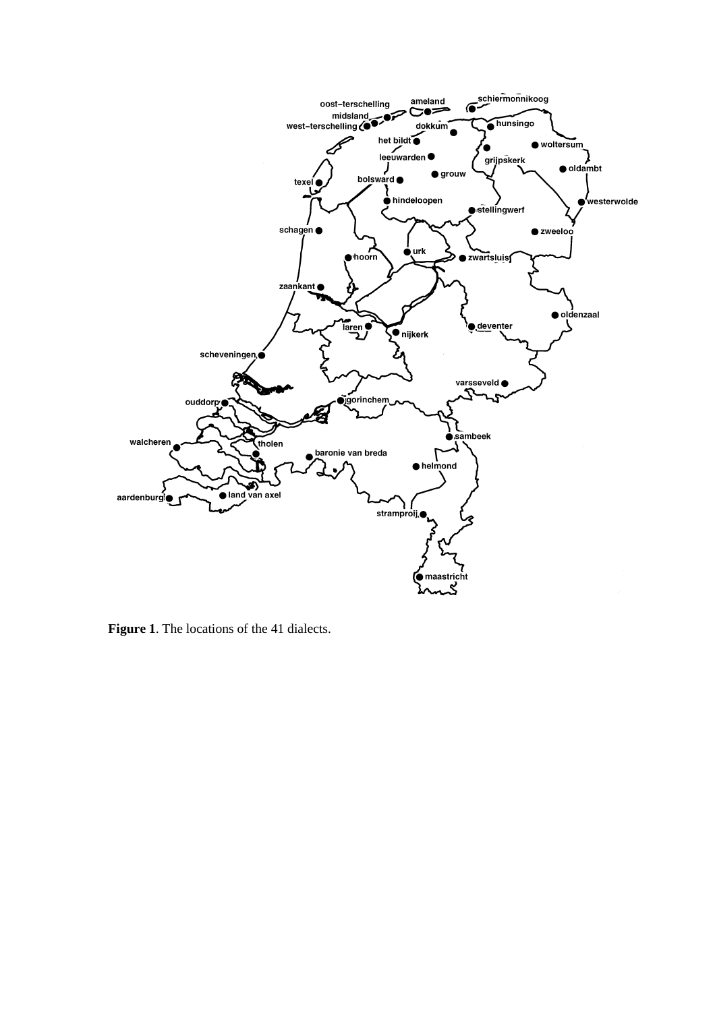

**Figure 1**. The locations of the 41 dialects.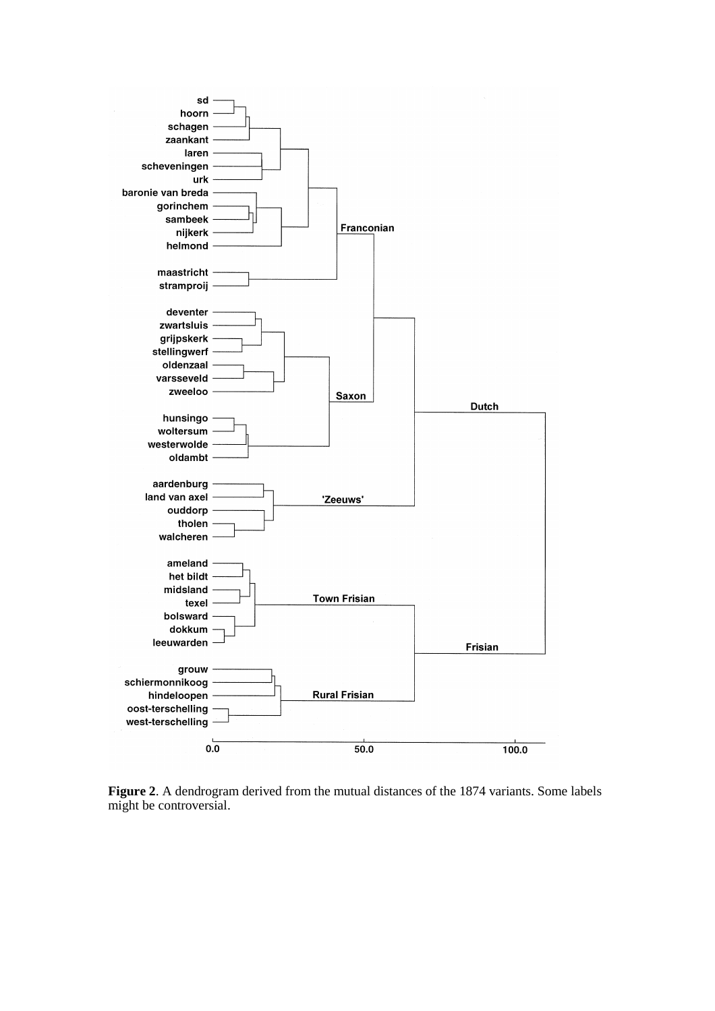

**Figure 2**. A dendrogram derived from the mutual distances of the 1874 variants. Some labels might be controversial.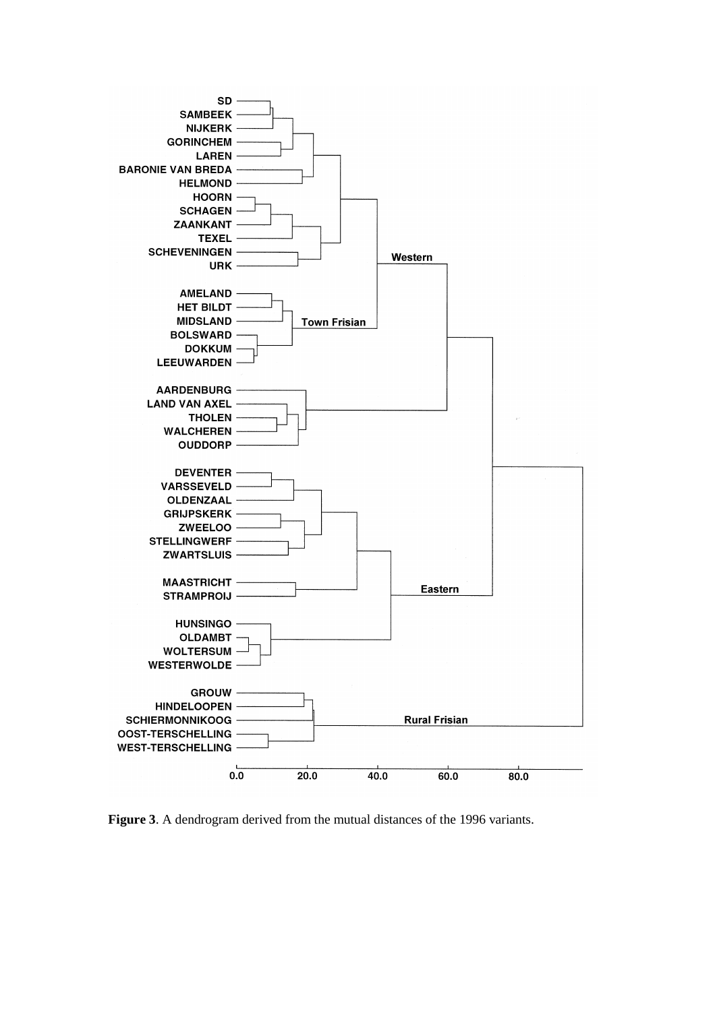

**Figure 3**. A dendrogram derived from the mutual distances of the 1996 variants.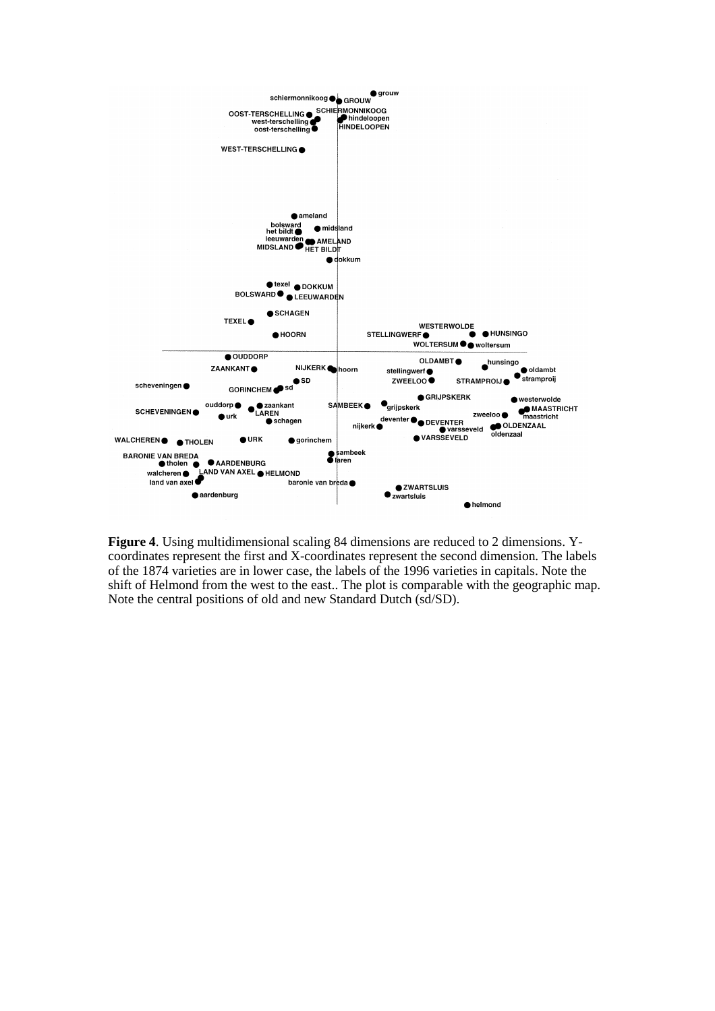

**Figure 4**. Using multidimensional scaling 84 dimensions are reduced to 2 dimensions. Ycoordinates represent the first and X-coordinates represent the second dimension. The labels of the 1874 varieties are in lower case, the labels of the 1996 varieties in capitals. Note the shift of Helmond from the west to the east.. The plot is comparable with the geographic map. Note the central positions of old and new Standard Dutch (sd/SD).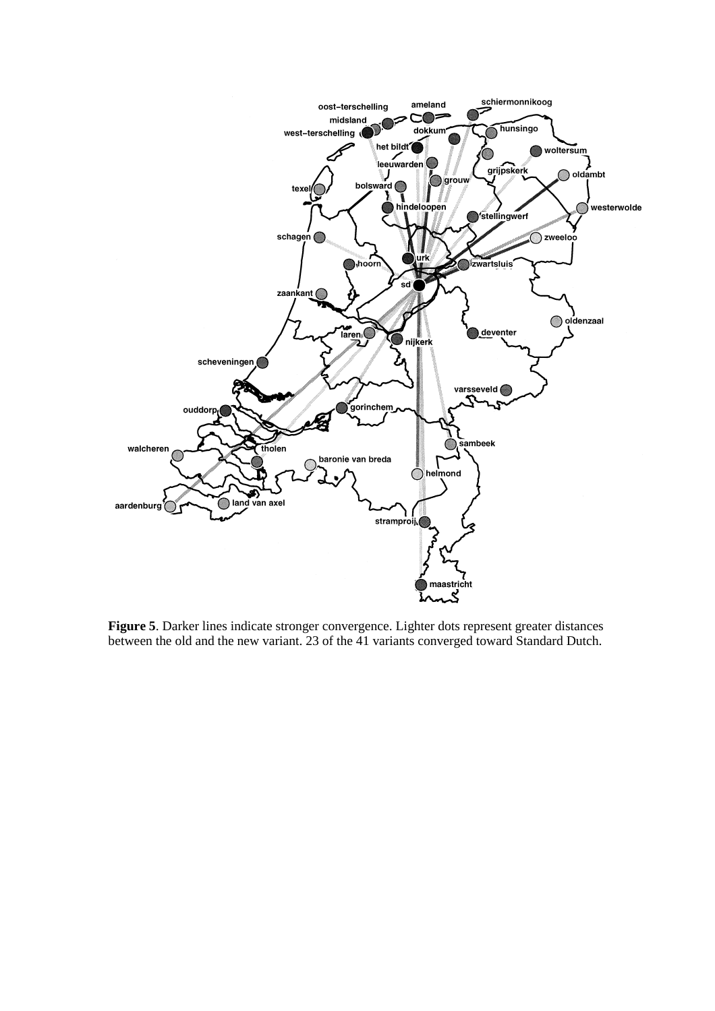

**Figure 5**. Darker lines indicate stronger convergence. Lighter dots represent greater distances between the old and the new variant. 23 of the 41 variants converged toward Standard Dutch.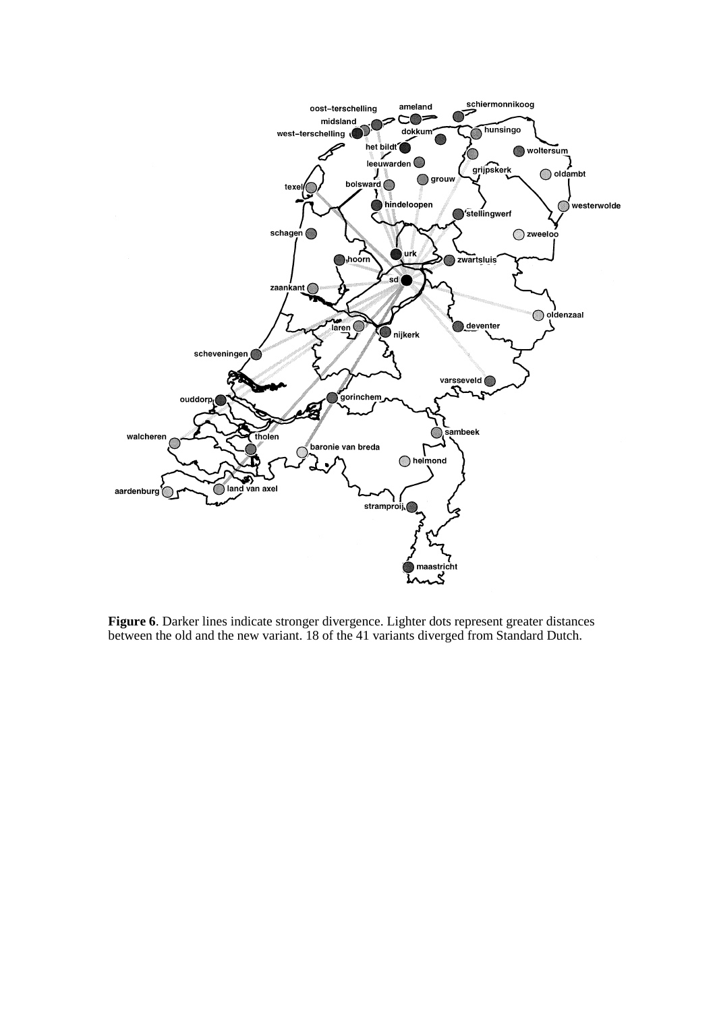

**Figure 6**. Darker lines indicate stronger divergence. Lighter dots represent greater distances between the old and the new variant. 18 of the 41 variants diverged from Standard Dutch.